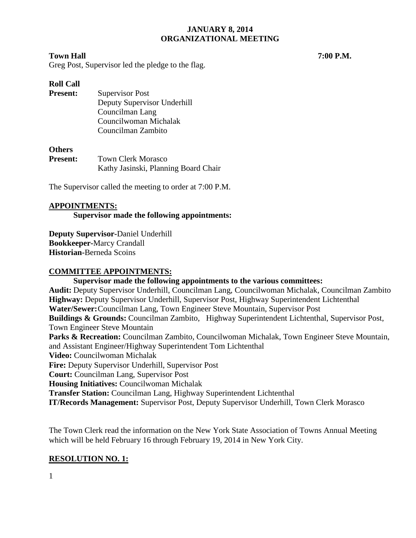#### **Town Hall 7:00 P.M.**

Greg Post, Supervisor led the pledge to the flag.

#### **Roll Call**

**Present:** Supervisor Post Deputy Supervisor Underhill Councilman Lang Councilwoman Michalak Councilman Zambito

#### **Others**

| <b>Present:</b> | <b>Town Clerk Morasco</b>            |  |  |
|-----------------|--------------------------------------|--|--|
|                 | Kathy Jasinski, Planning Board Chair |  |  |

The Supervisor called the meeting to order at 7:00 P.M.

#### **APPOINTMENTS:**

**Supervisor made the following appointments:**

**Deputy Supervisor-**Daniel Underhill **Bookkeeper-**Marcy Crandall **Historian-**Berneda Scoins

#### **COMMITTEE APPOINTMENTS:**

#### **Supervisor made the following appointments to the various committees:**

**Audit:** Deputy Supervisor Underhill, Councilman Lang, Councilwoman Michalak, Councilman Zambito **Highway:** Deputy Supervisor Underhill, Supervisor Post, Highway Superintendent Lichtenthal **Water/Sewer:**Councilman Lang, Town Engineer Steve Mountain, Supervisor Post **Buildings & Grounds:** Councilman Zambito, Highway Superintendent Lichtenthal, Supervisor Post, Town Engineer Steve Mountain Parks & Recreation: Councilman Zambito, Councilwoman Michalak, Town Engineer Steve Mountain, and Assistant Engineer/Highway Superintendent Tom Lichtenthal **Video:** Councilwoman Michalak **Fire:** Deputy Supervisor Underhill, Supervisor Post **Court:** Councilman Lang, Supervisor Post **Housing Initiatives:** Councilwoman Michalak **Transfer Station:** Councilman Lang, Highway Superintendent Lichtenthal **IT/Records Management:** Supervisor Post, Deputy Supervisor Underhill, Town Clerk Morasco

The Town Clerk read the information on the New York State Association of Towns Annual Meeting which will be held February 16 through February 19, 2014 in New York City.

# **RESOLUTION NO. 1:**

1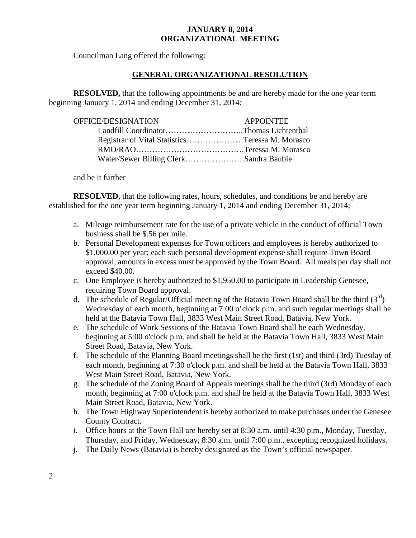Councilman Lang offered the following:

# **GENERAL ORGANIZATIONAL RESOLUTION**

**RESOLVED,** that the following appointments be and are hereby made for the one year term beginning January 1, 2014 and ending December 31, 2014:

| OFFICE/DESIGNATION                              | <b>APPOINTEE</b> |
|-------------------------------------------------|------------------|
| Landfill CoordinatorThomas Lichtenthal          |                  |
| Registrar of Vital StatisticsTeressa M. Morasco |                  |
|                                                 |                  |
| Water/Sewer Billing ClerkSandra Baubie          |                  |

and be it further

**RESOLVED**, that the following rates, hours, schedules, and conditions be and hereby are established for the one year term beginning January 1, 2014 and ending December 31, 2014;

- a. Mileage reimbursement rate for the use of a private vehicle in the conduct of official Town business shall be \$.56 per mile.
- b. Personal Development expenses for Town officers and employees is hereby authorized to \$1,000.00 per year; each such personal development expense shall require Town Board approval, amounts in excess must be approved by the Town Board. All meals per day shall not exceed \$40.00.
- c. One Employee is hereby authorized to \$1,950.00 to participate in Leadership Genesee, requiring Town Board approval.
- d. The schedule of Regular/Official meeting of the Batavia Town Board shall be the third  $(3<sup>rd</sup>)$ Wednesday of each month, beginning at 7:00 o'clock p.m. and such regular meetings shall be held at the Batavia Town Hall, 3833 West Main Street Road, Batavia, New York.
- e. The schedule of Work Sessions of the Batavia Town Board shall be each Wednesday, beginning at 5:00 o'clock p.m. and shall be held at the Batavia Town Hall, 3833 West Main Street Road, Batavia, New York.
- f. The schedule of the Planning Board meetings shall be the first (1st) and third (3rd) Tuesday of each month, beginning at 7:30 o'clock p.m. and shall be held at the Batavia Town Hall, 3833 West Main Street Road, Batavia, New York.
- g. The schedule of the Zoning Board of Appeals meetings shall be the third (3rd) Monday of each month, beginning at 7:00 o'clock p.m. and shall be held at the Batavia Town Hall, 3833 West Main Street Road, Batavia, New York.
- h. The Town Highway Superintendent is hereby authorized to make purchases under the Genesee County Contract.
- i. Office hours at the Town Hall are hereby set at 8:30 a.m. until 4:30 p.m., Monday, Tuesday, Thursday, and Friday, Wednesday, 8:30 a.m. until 7:00 p.m., excepting recognized holidays.
- j. The Daily News (Batavia) is hereby designated as the Town's official newspaper.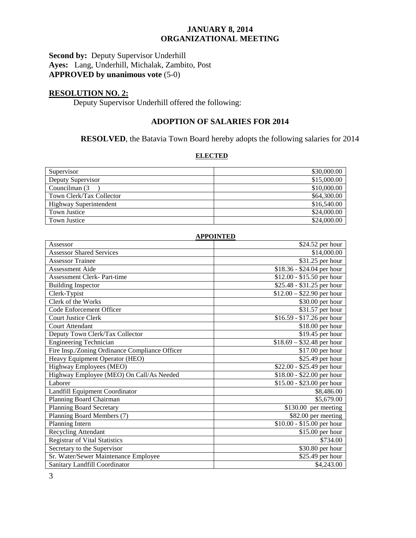#### **Second by:** Deputy Supervisor Underhill **Ayes:** Lang, Underhill, Michalak, Zambito, Post **APPROVED by unanimous vote** (5-0)

# **RESOLUTION NO. 2:**

Deputy Supervisor Underhill offered the following:

# **ADOPTION OF SALARIES FOR 2014**

# **RESOLVED**, the Batavia Town Board hereby adopts the following salaries for 2014

#### **ELECTED**

| Supervisor               | \$30,000.00 |
|--------------------------|-------------|
| Deputy Supervisor        | \$15,000.00 |
| Councilman (3)           | \$10,000.00 |
| Town Clerk/Tax Collector | \$64,300.00 |
| Highway Superintendent   | \$16,540.00 |
| <b>Town Justice</b>      | \$24,000.00 |
| <b>Town Justice</b>      | \$24,000.00 |

| <b>APPOINTED</b>                               |                                   |  |
|------------------------------------------------|-----------------------------------|--|
| Assessor                                       | \$24.52 per hour                  |  |
| <b>Assessor Shared Services</b>                | \$14,000.00                       |  |
| <b>Assessor Trainee</b>                        | \$31.25 per hour                  |  |
| Assessment Aide                                | $$18.36 - $24.04$ per hour        |  |
| <b>Assessment Clerk-Part-time</b>              | \$12.00 - \$15.50 per hour        |  |
| <b>Building Inspector</b>                      | \$25.48 - \$31.25 per hour        |  |
| Clerk-Typist                                   | $$12.00 - $22.90$ per hour        |  |
| Clerk of the Works                             | \$30.00 per hour                  |  |
| Code Enforcement Officer                       | \$31.57 per hour                  |  |
| <b>Court Justice Clerk</b>                     | \$16.59 - \$17.26 per hour        |  |
| Court Attendant                                | \$18.00 per hour                  |  |
| Deputy Town Clerk/Tax Collector                | \$19.45 per hour                  |  |
| <b>Engineering Technician</b>                  | $\sqrt{$18.69 - $32.48}$ per hour |  |
| Fire Insp./Zoning Ordinance Compliance Officer | \$17.00 per hour                  |  |
| Heavy Equipment Operator (HEO)                 | \$25.49 per hour                  |  |
| Highway Employees (MEO)                        | \$22.00 - \$25.49 per hour        |  |
| Highway Employee (MEO) On Call/As Needed       | \$18.00 - \$22.00 per hour        |  |
| Laborer                                        | \$15.00 - \$23.00 per hour        |  |
| Landfill Equipment Coordinator                 | \$8,486.00                        |  |
| Planning Board Chairman                        | \$5,679.00                        |  |
| <b>Planning Board Secretary</b>                | $$130.00$ per meeting             |  |
| Planning Board Members (7)                     | \$82.00 per meeting               |  |
| Planning Intern                                | \$10.00 - \$15.00 per hour        |  |
| Recycling Attendant                            | \$15.00 per hour                  |  |
| <b>Registrar of Vital Statistics</b>           | \$734.00                          |  |
| Secretary to the Supervisor                    | \$30.80 per hour                  |  |
| Sr. Water/Sewer Maintenance Employee           | $$25.49$ per hour                 |  |
| Sanitary Landfill Coordinator                  | \$4,243.00                        |  |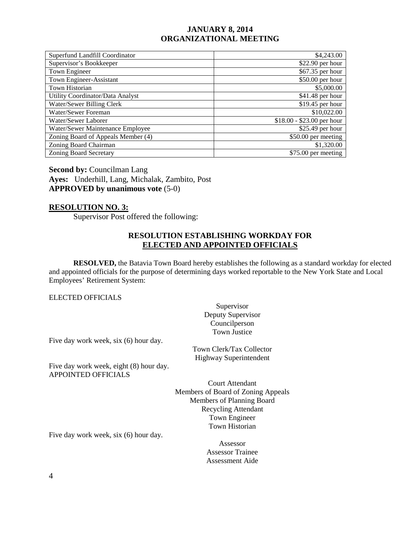| Superfund Landfill Coordinator     | \$4,243.00                 |
|------------------------------------|----------------------------|
| Supervisor's Bookkeeper            | $$22.90$ per hour          |
| Town Engineer                      | \$67.35 per hour           |
| Town Engineer-Assistant            | \$50.00 per hour           |
| Town Historian                     | \$5,000.00                 |
| Utility Coordinator/Data Analyst   | \$41.48 per hour           |
| Water/Sewer Billing Clerk          | $$19.45$ per hour          |
| Water/Sewer Foreman                | \$10,022.00                |
| Water/Sewer Laborer                | $$18.00 - $23.00$ per hour |
| Water/Sewer Maintenance Employee   | $$25.49$ per hour          |
| Zoning Board of Appeals Member (4) | \$50.00 per meeting        |
| Zoning Board Chairman              | \$1,320.00                 |
| <b>Zoning Board Secretary</b>      | \$75.00 per meeting        |

**Second by: Councilman Lang Ayes:** Underhill, Lang, Michalak, Zambito, Post **APPROVED by unanimous vote** (5-0)

#### **RESOLUTION NO. 3:**

Supervisor Post offered the following:

#### **RESOLUTION ESTABLISHING WORKDAY FOR ELECTED AND APPOINTED OFFICIALS**

**RESOLVED,** the Batavia Town Board hereby establishes the following as a standard workday for elected and appointed officials for the purpose of determining days worked reportable to the New York State and Local Employees' Retirement System:

#### ELECTED OFFICIALS

Supervisor Deputy Supervisor Councilperson Town Justice

Five day work week, six (6) hour day.

Town Clerk/Tax Collector Highway Superintendent

Five day work week, eight (8) hour day. APPOINTED OFFICIALS

> Court Attendant Members of Board of Zoning Appeals Members of Planning Board Recycling Attendant Town Engineer Town Historian

Five day work week, six (6) hour day.

Assessor Assessor Trainee Assessment Aide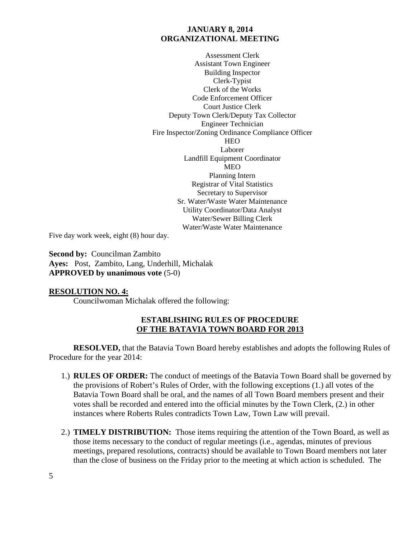Assessment Clerk Assistant Town Engineer Building Inspector Clerk-Typist Clerk of the Works Code Enforcement Officer Court Justice Clerk Deputy Town Clerk/Deputy Tax Collector Engineer Technician Fire Inspector/Zoning Ordinance Compliance Officer **HEO** Laborer Landfill Equipment Coordinator MEO Planning Intern Registrar of Vital Statistics Secretary to Supervisor Sr. Water/Waste Water Maintenance Utility Coordinator/Data Analyst Water/Sewer Billing Clerk Water/Waste Water Maintenance

Five day work week, eight (8) hour day.

**Second by:** Councilman Zambito **Ayes:** Post, Zambito, Lang, Underhill, Michalak **APPROVED by unanimous vote** (5-0)

#### **RESOLUTION NO. 4:**

Councilwoman Michalak offered the following:

#### **ESTABLISHING RULES OF PROCEDURE OF THE BATAVIA TOWN BOARD FOR 2013**

**RESOLVED,** that the Batavia Town Board hereby establishes and adopts the following Rules of Procedure for the year 2014:

- 1.) **RULES OF ORDER:** The conduct of meetings of the Batavia Town Board shall be governed by the provisions of Robert's Rules of Order, with the following exceptions (1.) all votes of the Batavia Town Board shall be oral, and the names of all Town Board members present and their votes shall be recorded and entered into the official minutes by the Town Clerk, (2.) in other instances where Roberts Rules contradicts Town Law, Town Law will prevail.
- 2.) **TIMELY DISTRIBUTION:** Those items requiring the attention of the Town Board, as well as those items necessary to the conduct of regular meetings (i.e., agendas, minutes of previous meetings, prepared resolutions, contracts) should be available to Town Board members not later than the close of business on the Friday prior to the meeting at which action is scheduled. The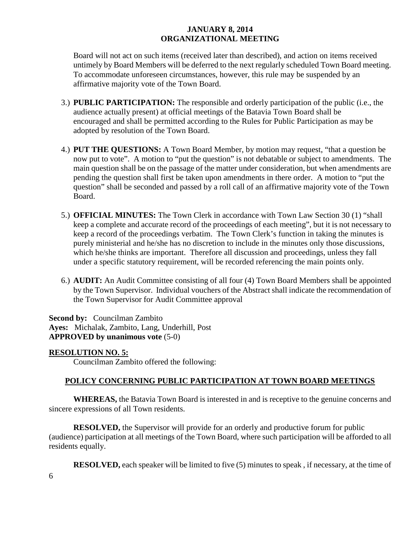Board will not act on such items (received later than described), and action on items received untimely by Board Members will be deferred to the next regularly scheduled Town Board meeting. To accommodate unforeseen circumstances, however, this rule may be suspended by an affirmative majority vote of the Town Board.

- 3.) **PUBLIC PARTICIPATION:** The responsible and orderly participation of the public (i.e., the audience actually present) at official meetings of the Batavia Town Board shall be encouraged and shall be permitted according to the Rules for Public Participation as may be adopted by resolution of the Town Board.
- 4.) **PUT THE QUESTIONS:** A Town Board Member, by motion may request, "that a question be now put to vote". A motion to "put the question" is not debatable or subject to amendments. The main question shall be on the passage of the matter under consideration, but when amendments are pending the question shall first be taken upon amendments in there order. A motion to "put the question" shall be seconded and passed by a roll call of an affirmative majority vote of the Town Board.
- 5.) **OFFICIAL MINUTES:** The Town Clerk in accordance with Town Law Section 30 (1) "shall keep a complete and accurate record of the proceedings of each meeting", but it is not necessary to keep a record of the proceedings verbatim. The Town Clerk's function in taking the minutes is purely ministerial and he/she has no discretion to include in the minutes only those discussions, which he/she thinks are important. Therefore all discussion and proceedings, unless they fall under a specific statutory requirement, will be recorded referencing the main points only.
- 6.) **AUDIT:** An Audit Committee consisting of all four (4) Town Board Members shall be appointed by the Town Supervisor. Individual vouchers of the Abstract shall indicate the recommendation of the Town Supervisor for Audit Committee approval

**Second by:** Councilman Zambito **Ayes:** Michalak, Zambito, Lang, Underhill, Post **APPROVED by unanimous vote** (5-0)

#### **RESOLUTION NO. 5:**

Councilman Zambito offered the following:

# **POLICY CONCERNING PUBLIC PARTICIPATION AT TOWN BOARD MEETINGS**

**WHEREAS,** the Batavia Town Board is interested in and is receptive to the genuine concerns and sincere expressions of all Town residents.

**RESOLVED,** the Supervisor will provide for an orderly and productive forum for public (audience) participation at all meetings of the Town Board, where such participation will be afforded to all residents equally.

**RESOLVED,** each speaker will be limited to five (5) minutes to speak, if necessary, at the time of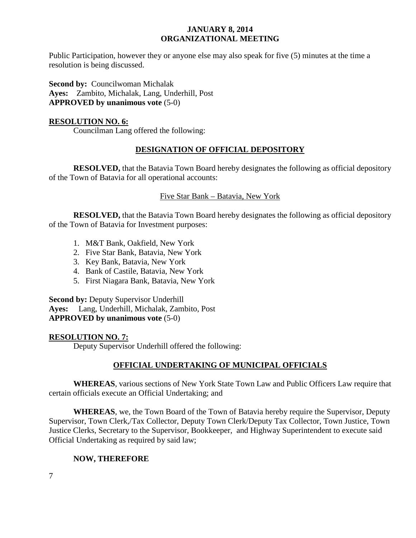Public Participation, however they or anyone else may also speak for five (5) minutes at the time a resolution is being discussed.

**Second by: Councilwoman Michalak Ayes:** Zambito, Michalak, Lang, Underhill, Post **APPROVED by unanimous vote** (5-0)

#### **RESOLUTION NO. 6:**

Councilman Lang offered the following:

# **DESIGNATION OF OFFICIAL DEPOSITORY**

**RESOLVED,** that the Batavia Town Board hereby designates the following as official depository of the Town of Batavia for all operational accounts:

#### Five Star Bank – Batavia, New York

**RESOLVED,** that the Batavia Town Board hereby designates the following as official depository of the Town of Batavia for Investment purposes:

- 1. M&T Bank, Oakfield, New York
- 2. Five Star Bank, Batavia, New York
- 3. Key Bank, Batavia, New York
- 4. Bank of Castile, Batavia, New York
- 5. First Niagara Bank, Batavia, New York

**Second by:** Deputy Supervisor Underhill **Ayes:** Lang, Underhill, Michalak, Zambito, Post **APPROVED by unanimous vote** (5-0)

#### **RESOLUTION NO. 7:**

Deputy Supervisor Underhill offered the following:

# **OFFICIAL UNDERTAKING OF MUNICIPAL OFFICIALS**

**WHEREAS**, various sections of New York State Town Law and Public Officers Law require that certain officials execute an Official Undertaking; and

**WHEREAS**, we, the Town Board of the Town of Batavia hereby require the Supervisor, Deputy Supervisor, Town Clerk,/Tax Collector, Deputy Town Clerk/Deputy Tax Collector, Town Justice, Town Justice Clerks, Secretary to the Supervisor, Bookkeeper, and Highway Superintendent to execute said Official Undertaking as required by said law;

# **NOW, THEREFORE**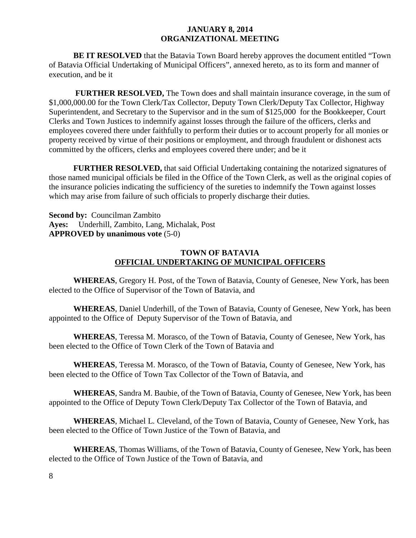**BE IT RESOLVED** that the Batavia Town Board hereby approves the document entitled "Town of Batavia Official Undertaking of Municipal Officers", annexed hereto, as to its form and manner of execution, and be it

**FURTHER RESOLVED,** The Town does and shall maintain insurance coverage, in the sum of \$1,000,000.00 for the Town Clerk/Tax Collector, Deputy Town Clerk/Deputy Tax Collector, Highway Superintendent, and Secretary to the Supervisor and in the sum of \$125,000 for the Bookkeeper, Court Clerks and Town Justices to indemnify against losses through the failure of the officers, clerks and employees covered there under faithfully to perform their duties or to account properly for all monies or property received by virtue of their positions or employment, and through fraudulent or dishonest acts committed by the officers, clerks and employees covered there under; and be it

**FURTHER RESOLVED,** that said Official Undertaking containing the notarized signatures of those named municipal officials be filed in the Office of the Town Clerk, as well as the original copies of the insurance policies indicating the sufficiency of the sureties to indemnify the Town against losses which may arise from failure of such officials to properly discharge their duties.

**Second by:** Councilman Zambito **Ayes:** Underhill, Zambito, Lang, Michalak, Post **APPROVED by unanimous vote** (5-0)

#### **TOWN OF BATAVIA OFFICIAL UNDERTAKING OF MUNICIPAL OFFICERS**

**WHEREAS**, Gregory H. Post, of the Town of Batavia, County of Genesee, New York, has been elected to the Office of Supervisor of the Town of Batavia, and

**WHEREAS**, Daniel Underhill, of the Town of Batavia, County of Genesee, New York, has been appointed to the Office of Deputy Supervisor of the Town of Batavia, and

**WHEREAS**, Teressa M. Morasco, of the Town of Batavia, County of Genesee, New York, has been elected to the Office of Town Clerk of the Town of Batavia and

**WHEREAS**, Teressa M. Morasco, of the Town of Batavia, County of Genesee, New York, has been elected to the Office of Town Tax Collector of the Town of Batavia, and

**WHEREAS**, Sandra M. Baubie, of the Town of Batavia, County of Genesee, New York, has been appointed to the Office of Deputy Town Clerk/Deputy Tax Collector of the Town of Batavia, and

**WHEREAS**, Michael L. Cleveland, of the Town of Batavia, County of Genesee, New York, has been elected to the Office of Town Justice of the Town of Batavia, and

**WHEREAS**, Thomas Williams, of the Town of Batavia, County of Genesee, New York, has been elected to the Office of Town Justice of the Town of Batavia, and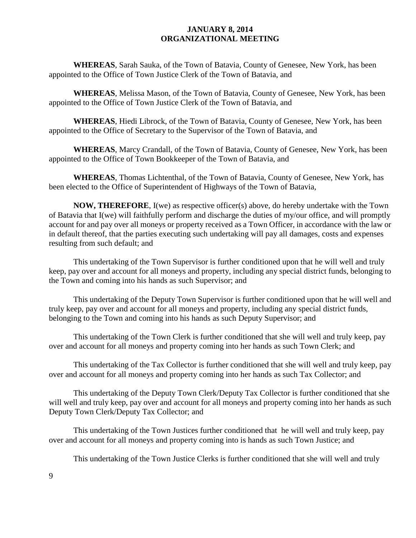**WHEREAS**, Sarah Sauka, of the Town of Batavia, County of Genesee, New York, has been appointed to the Office of Town Justice Clerk of the Town of Batavia, and

**WHEREAS**, Melissa Mason, of the Town of Batavia, County of Genesee, New York, has been appointed to the Office of Town Justice Clerk of the Town of Batavia, and

**WHEREAS**, Hiedi Librock, of the Town of Batavia, County of Genesee, New York, has been appointed to the Office of Secretary to the Supervisor of the Town of Batavia, and

**WHEREAS**, Marcy Crandall, of the Town of Batavia, County of Genesee, New York, has been appointed to the Office of Town Bookkeeper of the Town of Batavia, and

**WHEREAS**, Thomas Lichtenthal, of the Town of Batavia, County of Genesee, New York, has been elected to the Office of Superintendent of Highways of the Town of Batavia,

**NOW, THEREFORE**, I(we) as respective officer(s) above, do hereby undertake with the Town of Batavia that I(we) will faithfully perform and discharge the duties of my/our office, and will promptly account for and pay over all moneys or property received as a Town Officer, in accordance with the law or in default thereof, that the parties executing such undertaking will pay all damages, costs and expenses resulting from such default; and

This undertaking of the Town Supervisor is further conditioned upon that he will well and truly keep, pay over and account for all moneys and property, including any special district funds, belonging to the Town and coming into his hands as such Supervisor; and

This undertaking of the Deputy Town Supervisor is further conditioned upon that he will well and truly keep, pay over and account for all moneys and property, including any special district funds, belonging to the Town and coming into his hands as such Deputy Supervisor; and

This undertaking of the Town Clerk is further conditioned that she will well and truly keep, pay over and account for all moneys and property coming into her hands as such Town Clerk; and

This undertaking of the Tax Collector is further conditioned that she will well and truly keep, pay over and account for all moneys and property coming into her hands as such Tax Collector; and

This undertaking of the Deputy Town Clerk/Deputy Tax Collector is further conditioned that she will well and truly keep, pay over and account for all moneys and property coming into her hands as such Deputy Town Clerk/Deputy Tax Collector; and

This undertaking of the Town Justices further conditioned that he will well and truly keep, pay over and account for all moneys and property coming into is hands as such Town Justice; and

This undertaking of the Town Justice Clerks is further conditioned that she will well and truly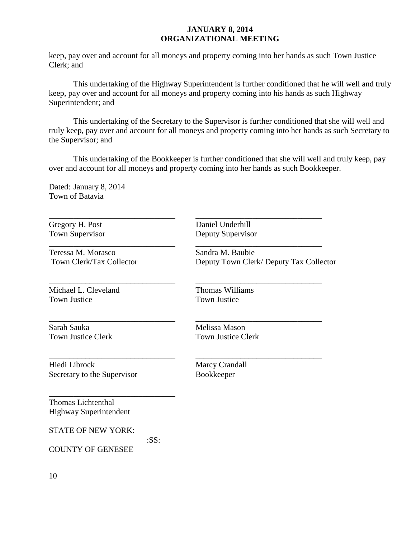keep, pay over and account for all moneys and property coming into her hands as such Town Justice Clerk; and

This undertaking of the Highway Superintendent is further conditioned that he will well and truly keep, pay over and account for all moneys and property coming into his hands as such Highway Superintendent; and

This undertaking of the Secretary to the Supervisor is further conditioned that she will well and truly keep, pay over and account for all moneys and property coming into her hands as such Secretary to the Supervisor; and

This undertaking of the Bookkeeper is further conditioned that she will well and truly keep, pay over and account for all moneys and property coming into her hands as such Bookkeeper.

Dated: January 8, 2014 Town of Batavia

Teressa M. Morasco Sandra M. Baubie

\_\_\_\_\_\_\_\_\_\_\_\_\_\_\_\_\_\_\_\_\_\_\_\_\_\_\_\_\_\_\_ \_\_\_\_\_\_\_\_\_\_\_\_\_\_\_\_\_\_\_\_\_\_\_\_\_\_\_\_\_\_\_ Michael L. Cleveland Thomas Williams Town Justice Town Justice

Sarah Sauka Melissa Mason

\_\_\_\_\_\_\_\_\_\_\_\_\_\_\_\_\_\_\_\_\_\_\_\_\_\_\_\_\_\_\_ \_\_\_\_\_\_\_\_\_\_\_\_\_\_\_\_\_\_\_\_\_\_\_\_\_\_\_\_\_\_\_ Gregory H. Post Daniel Underhill Town Supervisor Deputy Supervisor

\_\_\_\_\_\_\_\_\_\_\_\_\_\_\_\_\_\_\_\_\_\_\_\_\_\_\_\_\_\_\_ \_\_\_\_\_\_\_\_\_\_\_\_\_\_\_\_\_\_\_\_\_\_\_\_\_\_\_\_\_\_\_

\_\_\_\_\_\_\_\_\_\_\_\_\_\_\_\_\_\_\_\_\_\_\_\_\_\_\_\_\_\_\_ \_\_\_\_\_\_\_\_\_\_\_\_\_\_\_\_\_\_\_\_\_\_\_\_\_\_\_\_\_\_\_

\_\_\_\_\_\_\_\_\_\_\_\_\_\_\_\_\_\_\_\_\_\_\_\_\_\_\_\_\_\_\_ \_\_\_\_\_\_\_\_\_\_\_\_\_\_\_\_\_\_\_\_\_\_\_\_\_\_\_\_\_\_\_

Town Clerk/Tax Collector Deputy Town Clerk/ Deputy Tax Collector

Town Justice Clerk Town Justice Clerk

Hiedi Librock Marcy Crandall Secretary to the Supervisor Bookkeeper

\_\_\_\_\_\_\_\_\_\_\_\_\_\_\_\_\_\_\_\_\_\_\_\_\_\_\_\_\_\_\_

Thomas Lichtenthal Highway Superintendent

STATE OF NEW YORK:

:SS:

COUNTY OF GENESEE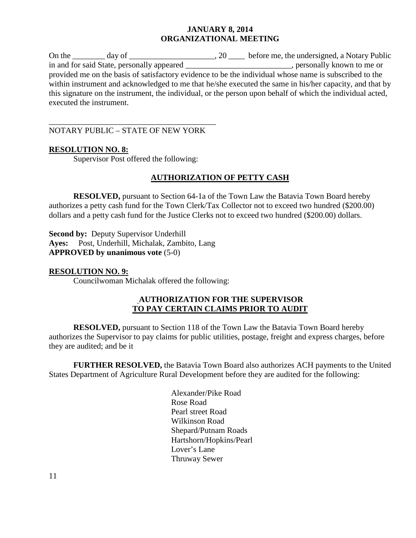On the day of day of  $\frac{1}{20}$ , 20  $\frac{1}{20}$  before me, the undersigned, a Notary Public in and for said State, personally appeared personally known to me or in and for said State, personally appeared provided me on the basis of satisfactory evidence to be the individual whose name is subscribed to the within instrument and acknowledged to me that he/she executed the same in his/her capacity, and that by this signature on the instrument, the individual, or the person upon behalf of which the individual acted, executed the instrument.

\_\_\_\_\_\_\_\_\_\_\_\_\_\_\_\_\_\_\_\_\_\_\_\_\_\_\_\_\_\_\_\_\_\_\_\_\_\_\_\_\_ NOTARY PUBLIC – STATE OF NEW YORK

# **RESOLUTION NO. 8:**

Supervisor Post offered the following:

# **AUTHORIZATION OF PETTY CASH**

**RESOLVED,** pursuant to Section 64-1a of the Town Law the Batavia Town Board hereby authorizes a petty cash fund for the Town Clerk/Tax Collector not to exceed two hundred (\$200.00) dollars and a petty cash fund for the Justice Clerks not to exceed two hundred (\$200.00) dollars.

**Second by:** Deputy Supervisor Underhill **Ayes:** Post, Underhill, Michalak, Zambito, Lang **APPROVED by unanimous vote** (5-0)

#### **RESOLUTION NO. 9:**

Councilwoman Michalak offered the following:

# **AUTHORIZATION FOR THE SUPERVISOR TO PAY CERTAIN CLAIMS PRIOR TO AUDIT**

**RESOLVED,** pursuant to Section 118 of the Town Law the Batavia Town Board hereby authorizes the Supervisor to pay claims for public utilities, postage, freight and express charges, before they are audited; and be it

**FURTHER RESOLVED,** the Batavia Town Board also authorizes ACH payments to the United States Department of Agriculture Rural Development before they are audited for the following:

> Alexander/Pike Road Rose Road Pearl street Road Wilkinson Road Shepard/Putnam Roads Hartshorn/Hopkins/Pearl Lover's Lane Thruway Sewer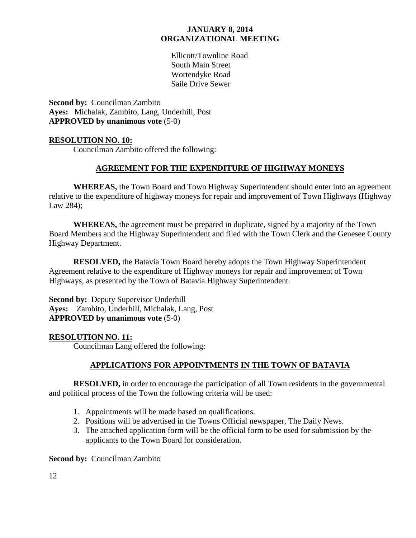Ellicott/Townline Road South Main Street Wortendyke Road Saile Drive Sewer

**Second by:** Councilman Zambito **Ayes:** Michalak, Zambito, Lang, Underhill, Post **APPROVED by unanimous vote** (5-0)

#### **RESOLUTION NO. 10:**

Councilman Zambito offered the following:

# **AGREEMENT FOR THE EXPENDITURE OF HIGHWAY MONEYS**

**WHEREAS,** the Town Board and Town Highway Superintendent should enter into an agreement relative to the expenditure of highway moneys for repair and improvement of Town Highways (Highway Law 284);

**WHEREAS,** the agreement must be prepared in duplicate, signed by a majority of the Town Board Members and the Highway Superintendent and filed with the Town Clerk and the Genesee County Highway Department.

**RESOLVED,** the Batavia Town Board hereby adopts the Town Highway Superintendent Agreement relative to the expenditure of Highway moneys for repair and improvement of Town Highways, as presented by the Town of Batavia Highway Superintendent.

**Second by:** Deputy Supervisor Underhill **Ayes:** Zambito, Underhill, Michalak, Lang, Post **APPROVED by unanimous vote** (5-0)

#### **RESOLUTION NO. 11:**

Councilman Lang offered the following:

# **APPLICATIONS FOR APPOINTMENTS IN THE TOWN OF BATAVIA**

**RESOLVED,** in order to encourage the participation of all Town residents in the governmental and political process of the Town the following criteria will be used:

- 1. Appointments will be made based on qualifications.
- 2. Positions will be advertised in the Towns Official newspaper, The Daily News.
- 3. The attached application form will be the official form to be used for submission by the applicants to the Town Board for consideration.

**Second by:** Councilman Zambito

12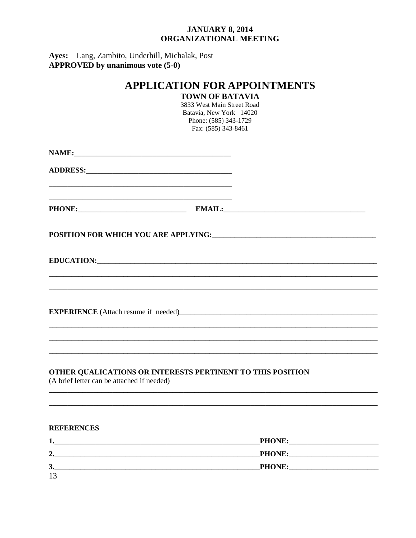Ayes: Lang, Zambito, Underhill, Michalak, Post<br>APPROVED by unanimous vote (5-0)

| <b>APPLICATION FOR APPOINTMENTS</b><br><b>TOWN OF BATAVIA</b><br>3833 West Main Street Road<br>Batavia, New York 14020<br>Phone: (585) 343-1729<br>Fax: (585) 343-8461 |                                                                                                                                                                                                                                |  |
|------------------------------------------------------------------------------------------------------------------------------------------------------------------------|--------------------------------------------------------------------------------------------------------------------------------------------------------------------------------------------------------------------------------|--|
|                                                                                                                                                                        |                                                                                                                                                                                                                                |  |
|                                                                                                                                                                        | <u> 1989 - Johann John Stoff, deutscher Stoff und der Stoff und der Stoff und der Stoff und der Stoff und der Sto</u>                                                                                                          |  |
|                                                                                                                                                                        | PHONE: PHONE: PHONE PHONE PHONE PHONE PHONE PHONE PHONE PHONE PHONE PHONE PHONE PHONE PHONE PHONE PHONE PHONE PHONE PHONE PHONE PHONE PHONE PHONE PHONE PHONE PHONE PHONE PHONE PHONE PHONE PHONE PHONE PHONE PHONE PHONE PHON |  |
|                                                                                                                                                                        |                                                                                                                                                                                                                                |  |
|                                                                                                                                                                        |                                                                                                                                                                                                                                |  |
|                                                                                                                                                                        |                                                                                                                                                                                                                                |  |
| (A brief letter can be attached if needed)                                                                                                                             | OTHER QUALICATIONS OR INTERESTS PERTINENT TO THIS POSITION                                                                                                                                                                     |  |
| <b>REFERENCES</b>                                                                                                                                                      |                                                                                                                                                                                                                                |  |

| л.      | <b>PHONE:</b> |
|---------|---------------|
| ി<br>д. | <b>PHONE:</b> |
| 3.      | <b>PHONE:</b> |
| 12      |               |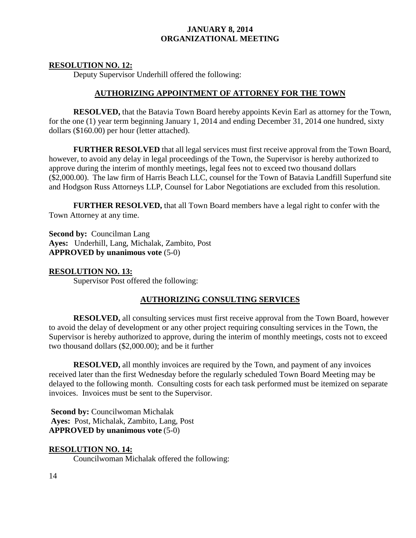#### **RESOLUTION NO. 12:**

Deputy Supervisor Underhill offered the following:

#### **AUTHORIZING APPOINTMENT OF ATTORNEY FOR THE TOWN**

**RESOLVED,** that the Batavia Town Board hereby appoints Kevin Earl as attorney for the Town, for the one (1) year term beginning January 1, 2014 and ending December 31, 2014 one hundred, sixty dollars (\$160.00) per hour (letter attached).

**FURTHER RESOLVED** that all legal services must first receive approval from the Town Board, however, to avoid any delay in legal proceedings of the Town, the Supervisor is hereby authorized to approve during the interim of monthly meetings, legal fees not to exceed two thousand dollars (\$2,000.00). The law firm of Harris Beach LLC, counsel for the Town of Batavia Landfill Superfund site and Hodgson Russ Attorneys LLP, Counsel for Labor Negotiations are excluded from this resolution.

**FURTHER RESOLVED,** that all Town Board members have a legal right to confer with the Town Attorney at any time.

**Second by:** Councilman Lang **Ayes:** Underhill, Lang, Michalak, Zambito, Post **APPROVED by unanimous vote** (5-0)

#### **RESOLUTION NO. 13:**

Supervisor Post offered the following:

#### **AUTHORIZING CONSULTING SERVICES**

**RESOLVED,** all consulting services must first receive approval from the Town Board, however to avoid the delay of development or any other project requiring consulting services in the Town, the Supervisor is hereby authorized to approve, during the interim of monthly meetings, costs not to exceed two thousand dollars (\$2,000.00); and be it further

**RESOLVED,** all monthly invoices are required by the Town, and payment of any invoices received later than the first Wednesday before the regularly scheduled Town Board Meeting may be delayed to the following month. Consulting costs for each task performed must be itemized on separate invoices. Invoices must be sent to the Supervisor.

**Second by:** Councilwoman Michalak **Ayes:** Post, Michalak, Zambito, Lang, Post **APPROVED by unanimous vote** (5-0)

#### **RESOLUTION NO. 14:**

Councilwoman Michalak offered the following: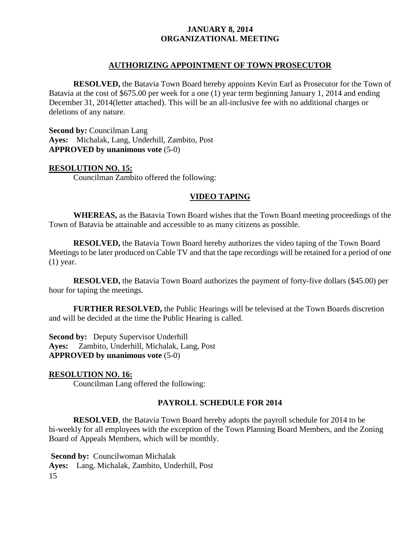#### **AUTHORIZING APPOINTMENT OF TOWN PROSECUTOR**

**RESOLVED,** the Batavia Town Board hereby appoints Kevin Earl as Prosecutor for the Town of Batavia at the cost of \$675.00 per week for a one (1) year term beginning January 1, 2014 and ending December 31, 2014(letter attached). This will be an all-inclusive fee with no additional charges or deletions of any nature.

**Second by:** Councilman Lang **Ayes:** Michalak, Lang, Underhill, Zambito, Post **APPROVED by unanimous vote** (5-0)

#### **RESOLUTION NO. 15:**

Councilman Zambito offered the following:

#### **VIDEO TAPING**

**WHEREAS,** as the Batavia Town Board wishes that the Town Board meeting proceedings of the Town of Batavia be attainable and accessible to as many citizens as possible.

**RESOLVED,** the Batavia Town Board hereby authorizes the video taping of the Town Board Meetings to be later produced on Cable TV and that the tape recordings will be retained for a period of one (1) year.

**RESOLVED,** the Batavia Town Board authorizes the payment of forty-five dollars (\$45.00) per hour for taping the meetings.

**FURTHER RESOLVED,** the Public Hearings will be televised at the Town Boards discretion and will be decided at the time the Public Hearing is called.

**Second by:** Deputy Supervisor Underhill **Ayes:** Zambito, Underhill, Michalak, Lang, Post **APPROVED by unanimous vote** (5-0)

#### **RESOLUTION NO. 16:**

Councilman Lang offered the following:

#### **PAYROLL SCHEDULE FOR 2014**

**RESOLVED**, the Batavia Town Board hereby adopts the payroll schedule for 2014 to be bi-weekly for all employees with the exception of the Town Planning Board Members, and the Zoning Board of Appeals Members, which will be monthly.

15 **Second by:** Councilwoman Michalak **Ayes:** Lang, Michalak, Zambito, Underhill, Post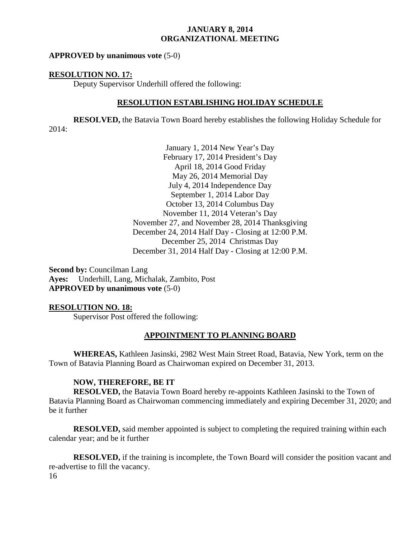#### **APPROVED by unanimous vote** (5-0)

#### **RESOLUTION NO. 17:**

Deputy Supervisor Underhill offered the following:

#### **RESOLUTION ESTABLISHING HOLIDAY SCHEDULE**

**RESOLVED,** the Batavia Town Board hereby establishes the following Holiday Schedule for 2014:

> January 1, 2014 New Year's Day February 17, 2014 President's Day April 18, 2014 Good Friday May 26, 2014 Memorial Day July 4, 2014 Independence Day September 1, 2014 Labor Day October 13, 2014 Columbus Day November 11, 2014 Veteran's Day November 27, and November 28, 2014 Thanksgiving December 24, 2014 Half Day - Closing at 12:00 P.M. December 25, 2014 Christmas Day December 31, 2014 Half Day - Closing at 12:00 P.M.

**Second by:** Councilman Lang **Ayes:** Underhill, Lang, Michalak, Zambito, Post **APPROVED by unanimous vote** (5-0)

#### **RESOLUTION NO. 18:**

Supervisor Post offered the following:

#### **APPOINTMENT TO PLANNING BOARD**

**WHEREAS,** Kathleen Jasinski, 2982 West Main Street Road, Batavia, New York, term on the Town of Batavia Planning Board as Chairwoman expired on December 31, 2013.

#### **NOW, THEREFORE, BE IT**

**RESOLVED,** the Batavia Town Board hereby re-appoints Kathleen Jasinski to the Town of Batavia Planning Board as Chairwoman commencing immediately and expiring December 31, 2020; and be it further

**RESOLVED,** said member appointed is subject to completing the required training within each calendar year; and be it further

16 **RESOLVED,** if the training is incomplete, the Town Board will consider the position vacant and re-advertise to fill the vacancy.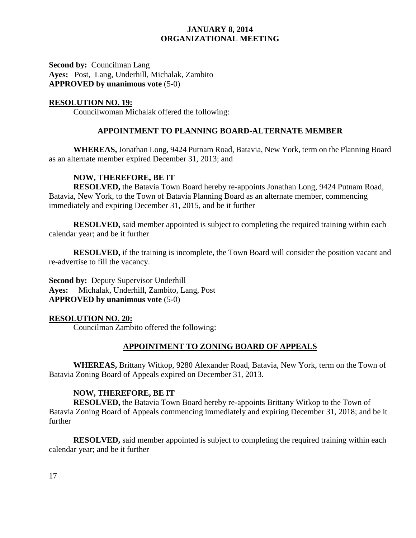**Second by:** Councilman Lang **Ayes:** Post, Lang, Underhill, Michalak, Zambito **APPROVED by unanimous vote** (5-0)

# **RESOLUTION NO. 19:**

Councilwoman Michalak offered the following:

# **APPOINTMENT TO PLANNING BOARD-ALTERNATE MEMBER**

**WHEREAS,** Jonathan Long, 9424 Putnam Road, Batavia, New York, term on the Planning Board as an alternate member expired December 31, 2013; and

#### **NOW, THEREFORE, BE IT**

**RESOLVED,** the Batavia Town Board hereby re-appoints Jonathan Long, 9424 Putnam Road, Batavia, New York, to the Town of Batavia Planning Board as an alternate member, commencing immediately and expiring December 31, 2015, and be it further

**RESOLVED,** said member appointed is subject to completing the required training within each calendar year; and be it further

**RESOLVED,** if the training is incomplete, the Town Board will consider the position vacant and re-advertise to fill the vacancy.

**Second by:** Deputy Supervisor Underhill **Ayes:** Michalak, Underhill, Zambito, Lang, Post **APPROVED by unanimous vote** (5-0)

#### **RESOLUTION NO. 20:**

Councilman Zambito offered the following:

# **APPOINTMENT TO ZONING BOARD OF APPEALS**

**WHEREAS,** Brittany Witkop, 9280 Alexander Road, Batavia, New York, term on the Town of Batavia Zoning Board of Appeals expired on December 31, 2013.

#### **NOW, THEREFORE, BE IT**

**RESOLVED,** the Batavia Town Board hereby re-appoints Brittany Witkop to the Town of Batavia Zoning Board of Appeals commencing immediately and expiring December 31, 2018; and be it further

**RESOLVED,** said member appointed is subject to completing the required training within each calendar year; and be it further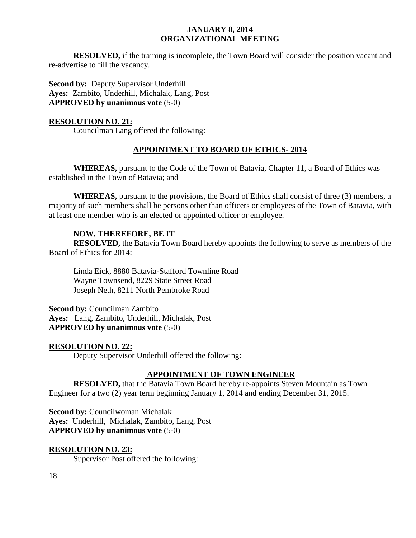**RESOLVED,** if the training is incomplete, the Town Board will consider the position vacant and re-advertise to fill the vacancy.

**Second by:** Deputy Supervisor Underhill **Ayes:** Zambito, Underhill, Michalak, Lang, Post **APPROVED by unanimous vote** (5-0)

#### **RESOLUTION NO. 21:**

Councilman Lang offered the following:

# **APPOINTMENT TO BOARD OF ETHICS- 2014**

**WHEREAS,** pursuant to the Code of the Town of Batavia, Chapter 11, a Board of Ethics was established in the Town of Batavia; and

**WHEREAS,** pursuant to the provisions, the Board of Ethics shall consist of three (3) members, a majority of such members shall be persons other than officers or employees of the Town of Batavia, with at least one member who is an elected or appointed officer or employee.

# **NOW, THEREFORE, BE IT**

**RESOLVED,** the Batavia Town Board hereby appoints the following to serve as members of the Board of Ethics for 2014:

Linda Eick, 8880 Batavia-Stafford Townline Road Wayne Townsend, 8229 State Street Road Joseph Neth, 8211 North Pembroke Road

**Second by:** Councilman Zambito **Ayes:** Lang, Zambito, Underhill, Michalak, Post **APPROVED by unanimous vote** (5-0)

# **RESOLUTION NO. 22:**

Deputy Supervisor Underhill offered the following:

# **APPOINTMENT OF TOWN ENGINEER**

**RESOLVED,** that the Batavia Town Board hereby re-appoints Steven Mountain as Town Engineer for a two (2) year term beginning January 1, 2014 and ending December 31, 2015.

**Second by: Councilwoman Michalak Ayes:** Underhill, Michalak, Zambito, Lang, Post **APPROVED by unanimous vote** (5-0)

#### **RESOLUTION NO. 23:**

Supervisor Post offered the following: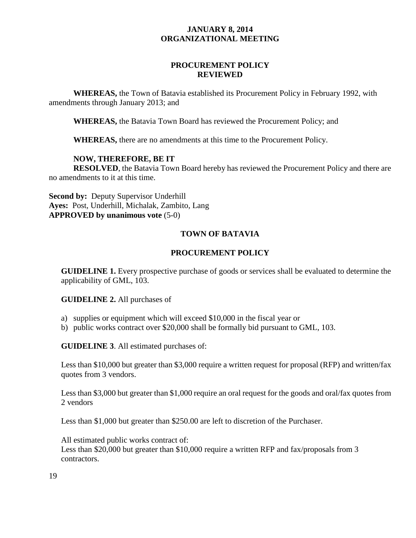# **PROCUREMENT POLICY REVIEWED**

**WHEREAS,** the Town of Batavia established its Procurement Policy in February 1992, with amendments through January 2013; and

**WHEREAS,** the Batavia Town Board has reviewed the Procurement Policy; and

**WHEREAS,** there are no amendments at this time to the Procurement Policy.

#### **NOW, THEREFORE, BE IT**

**RESOLVED**, the Batavia Town Board hereby has reviewed the Procurement Policy and there are no amendments to it at this time.

**Second by:** Deputy Supervisor Underhill **Ayes:** Post, Underhill, Michalak, Zambito, Lang **APPROVED by unanimous vote** (5-0)

# **TOWN OF BATAVIA**

# **PROCUREMENT POLICY**

**GUIDELINE 1.** Every prospective purchase of goods or services shall be evaluated to determine the applicability of GML, 103.

**GUIDELINE 2.** All purchases of

- a) supplies or equipment which will exceed \$10,000 in the fiscal year or
- b) public works contract over \$20,000 shall be formally bid pursuant to GML, 103.

**GUIDELINE 3**. All estimated purchases of:

Less than \$10,000 but greater than \$3,000 require a written request for proposal (RFP) and written/fax quotes from 3 vendors.

Less than \$3,000 but greater than \$1,000 require an oral request for the goods and oral/fax quotes from 2 vendors

Less than \$1,000 but greater than \$250.00 are left to discretion of the Purchaser.

All estimated public works contract of: Less than \$20,000 but greater than \$10,000 require a written RFP and fax/proposals from 3 contractors.

19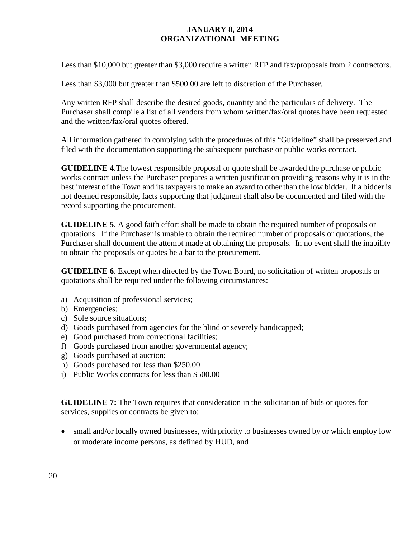Less than \$10,000 but greater than \$3,000 require a written RFP and fax/proposals from 2 contractors.

Less than \$3,000 but greater than \$500.00 are left to discretion of the Purchaser.

Any written RFP shall describe the desired goods, quantity and the particulars of delivery. The Purchaser shall compile a list of all vendors from whom written/fax/oral quotes have been requested and the written/fax/oral quotes offered.

All information gathered in complying with the procedures of this "Guideline" shall be preserved and filed with the documentation supporting the subsequent purchase or public works contract.

**GUIDELINE 4**.The lowest responsible proposal or quote shall be awarded the purchase or public works contract unless the Purchaser prepares a written justification providing reasons why it is in the best interest of the Town and its taxpayers to make an award to other than the low bidder. If a bidder is not deemed responsible, facts supporting that judgment shall also be documented and filed with the record supporting the procurement.

**GUIDELINE 5**. A good faith effort shall be made to obtain the required number of proposals or quotations. If the Purchaser is unable to obtain the required number of proposals or quotations, the Purchaser shall document the attempt made at obtaining the proposals. In no event shall the inability to obtain the proposals or quotes be a bar to the procurement.

**GUIDELINE 6**. Except when directed by the Town Board, no solicitation of written proposals or quotations shall be required under the following circumstances:

- a) Acquisition of professional services;
- b) Emergencies;
- c) Sole source situations;
- d) Goods purchased from agencies for the blind or severely handicapped;
- e) Good purchased from correctional facilities;
- f) Goods purchased from another governmental agency;
- g) Goods purchased at auction;
- h) Goods purchased for less than \$250.00
- i) Public Works contracts for less than \$500.00

**GUIDELINE 7:** The Town requires that consideration in the solicitation of bids or quotes for services, supplies or contracts be given to:

• small and/or locally owned businesses, with priority to businesses owned by or which employ low or moderate income persons, as defined by HUD, and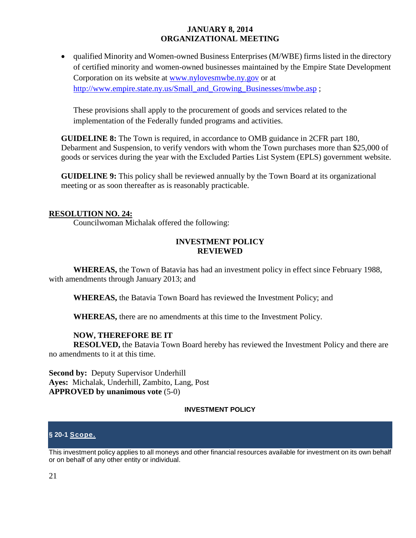• qualified Minority and Women-owned Business Enterprises (M/WBE) firms listed in the directory of certified minority and women-owned businesses maintained by the Empire State Development Corporation on its website at [www.nylovesmwbe.ny.gov](http://www.nylovesmwbe.ny.gov/) or at [http://www.empire.state.ny.us/Small\\_and\\_Growing\\_Businesses/mwbe.asp](http://www.empire.state.ny.us/Small_and_Growing_Businesses/mwbe.asp);

These provisions shall apply to the procurement of goods and services related to the implementation of the Federally funded programs and activities.

**GUIDELINE 8:** The Town is required, in accordance to OMB guidance in 2CFR part 180, Debarment and Suspension, to verify vendors with whom the Town purchases more than \$25,000 of goods or services during the year with the Excluded Parties List System (EPLS) government website.

**GUIDELINE 9:** This policy shall be reviewed annually by the Town Board at its organizational meeting or as soon thereafter as is reasonably practicable.

#### **RESOLUTION NO. 24:**

Councilwoman Michalak offered the following:

#### **INVESTMENT POLICY REVIEWED**

**WHEREAS,** the Town of Batavia has had an investment policy in effect since February 1988, with amendments through January 2013; and

**WHEREAS,** the Batavia Town Board has reviewed the Investment Policy; and

**WHEREAS,** there are no amendments at this time to the Investment Policy.

# **NOW, THEREFORE BE IT**

**RESOLVED,** the Batavia Town Board hereby has reviewed the Investment Policy and there are no amendments to it at this time.

**Second by:** Deputy Supervisor Underhill **Ayes:** Michalak, Underhill, Zambito, Lang, Post **APPROVED by unanimous vote** (5-0)

#### **INVESTMENT POLICY**

# **§ 20-1 [Scope.](http://www.ecode360.com/8980063#8980063)**

This investment policy applies to all moneys and other financial resources available for investment on its own behalf or on behalf of any other entity or individual.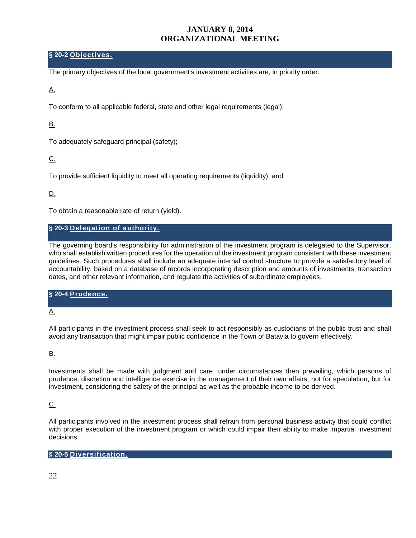#### **§ 20-2 [Objectives.](http://www.ecode360.com/8980064#8980064)**

The primary objectives of the local government's investment activities are, in priority order:

#### [A.](http://www.ecode360.com/8980065#8980065)

To conform to all applicable federal, state and other legal requirements (legal);

#### [B.](http://www.ecode360.com/8980066#8980066)

To adequately safeguard principal (safety);

#### [C.](http://www.ecode360.com/8980067#8980067)

To provide sufficient liquidity to meet all operating requirements (liquidity); and

# [D.](http://www.ecode360.com/8980068#8980068)

To obtain a reasonable rate of return (yield).

#### **§ 20-3 [Delegation of authority.](http://www.ecode360.com/8980069#8980069)**

The governing board's responsibility for administration of the investment program is delegated to the Supervisor, who shall establish written procedures for the operation of the investment program consistent with these investment guidelines. Such procedures shall include an adequate internal control structure to provide a satisfactory level of accountability, based on a database of records incorporating description and amounts of investments, transaction dates, and other relevant information, and regulate the activities of subordinate employees.

# **§ 20-4 [Prudence.](http://www.ecode360.com/8980070#8980070)**  [A.](http://www.ecode360.com/8980071#8980071)

All participants in the investment process shall seek to act responsibly as custodians of the public trust and shall avoid any transaction that might impair public confidence in the Town of Batavia to govern effectively.

#### [B.](http://www.ecode360.com/8980072#8980072)

Investments shall be made with judgment and care, under circumstances then prevailing, which persons of prudence, discretion and intelligence exercise in the management of their own affairs, not for speculation, but for investment, considering the safety of the principal as well as the probable income to be derived.

#### [C.](http://www.ecode360.com/8980073#8980073)

All participants involved in the investment process shall refrain from personal business activity that could conflict with proper execution of the investment program or which could impair their ability to make impartial investment decisions.

#### **§ 20-5 [Diversification.](http://www.ecode360.com/8980074#8980074)**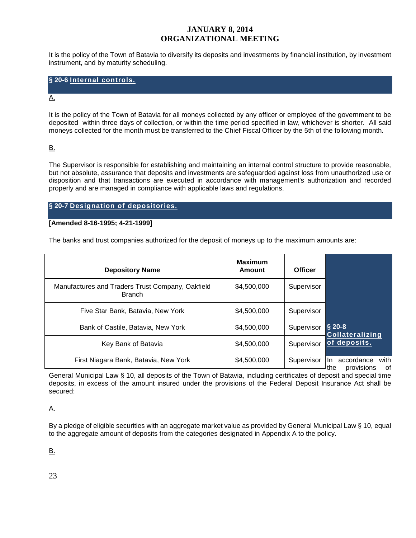It is the policy of the Town of Batavia to diversify its deposits and investments by financial institution, by investment instrument, and by maturity scheduling.

#### **§ 20-6 [Internal controls.](http://www.ecode360.com/8980075#8980075)**

#### [A.](http://www.ecode360.com/8980076#8980076)

It is the policy of the Town of Batavia for all moneys collected by any officer or employee of the government to be deposited within three days of collection, or within the time period specified in law, whichever is shorter. All said moneys collected for the month must be transferred to the Chief Fiscal Officer by the 5th of the following month.

#### [B.](http://www.ecode360.com/8980077#8980077)

The Supervisor is responsible for establishing and maintaining an internal control structure to provide reasonable, but not absolute, assurance that deposits and investments are safeguarded against loss from unauthorized use or disposition and that transactions are executed in accordance with management's authorization and recorded properly and are managed in compliance with applicable laws and regulations.

#### **§ 20-7 [Designation of](http://www.ecode360.com/8980078#8980078) depositories.**

#### **[Amended 8-16-1995; 4-21-1999]**

The banks and trust companies authorized for the deposit of moneys up to the maximum amounts are:

| <b>Depository Name</b>                                            | <b>Maximum</b><br>Amount | <b>Officer</b> |                                                      |
|-------------------------------------------------------------------|--------------------------|----------------|------------------------------------------------------|
| Manufactures and Traders Trust Company, Oakfield<br><b>Branch</b> | \$4,500,000              | Supervisor     |                                                      |
| Five Star Bank, Batavia, New York                                 | \$4,500,000              | Supervisor     |                                                      |
| Bank of Castile, Batavia, New York                                | \$4,500,000              | Supervisor     | $\frac{1}{9}$ 20-8<br><b>Collateralizing</b>         |
| Key Bank of Batavia                                               | \$4,500,000              | Supervisor     | of deposits.                                         |
| First Niagara Bank, Batavia, New York                             | \$4,500,000              | Supervisor     | with<br>accordance<br>In.<br>0f<br>provisions<br>the |

General Municipal Law § 10, all deposits of the Town of Batavia, including certificates of deposit and special time deposits, in excess of the amount insured under the provisions of the Federal Deposit Insurance Act shall be secured:

#### [A.](http://www.ecode360.com/8980080#8980080)

By a pledge of eligible securities with an aggregate market value as provided by General Municipal Law § 10, equal to the aggregate amount of deposits from the categories designated in Appendix A to the policy.

[B.](http://www.ecode360.com/8980081#8980081) 

23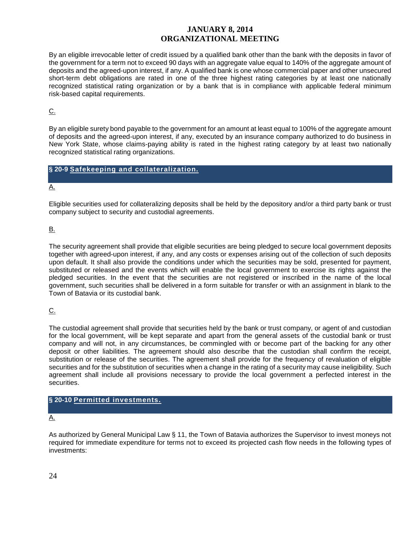By an eligible irrevocable letter of credit issued by a qualified bank other than the bank with the deposits in favor of the government for a term not to exceed 90 days with an aggregate value equal to 140% of the aggregate amount of deposits and the agreed-upon interest, if any. A qualified bank is one whose commercial paper and other unsecured short-term debt obligations are rated in one of the three highest rating categories by at least one nationally recognized statistical rating organization or by a bank that is in compliance with applicable federal minimum risk-based capital requirements.

 $C<sub>1</sub>$ 

By an eligible surety bond payable to the government for an amount at least equal to 100% of the aggregate amount of deposits and the agreed-upon interest, if any, executed by an insurance company authorized to do business in New York State, whose claims-paying ability is rated in the highest rating category by at least two nationally recognized statistical rating organizations.

#### **§ 20-9 [Safekeeping and collateralization.](http://www.ecode360.com/8980083#8980083)**

#### [A.](http://www.ecode360.com/8980084#8980084)

Eligible securities used for collateralizing deposits shall be held by the depository and/or a third party bank or trust company subject to security and custodial agreements.

#### [B.](http://www.ecode360.com/8980085#8980085)

The security agreement shall provide that eligible securities are being pledged to secure local government deposits together with agreed-upon interest, if any, and any costs or expenses arising out of the collection of such deposits upon default. It shall also provide the conditions under which the securities may be sold, presented for payment, substituted or released and the events which will enable the local government to exercise its rights against the pledged securities. In the event that the securities are not registered or inscribed in the name of the local government, such securities shall be delivered in a form suitable for transfer or with an assignment in blank to the Town of Batavia or its custodial bank.

#### [C.](http://www.ecode360.com/8980086#8980086)

The custodial agreement shall provide that securities held by the bank or trust company, or agent of and custodian for the local government, will be kept separate and apart from the general assets of the custodial bank or trust company and will not, in any circumstances, be commingled with or become part of the backing for any other deposit or other liabilities. The agreement should also describe that the custodian shall confirm the receipt, substitution or release of the securities. The agreement shall provide for the frequency of revaluation of eligible securities and for the substitution of securities when a change in the rating of a security may cause ineligibility. Such agreement shall include all provisions necessary to provide the local government a perfected interest in the securities.

#### **§ 20-10 [Permitted investments.](http://www.ecode360.com/8980087#8980087)**

#### [A.](http://www.ecode360.com/8980088#8980088)

As authorized by General Municipal Law § 11, the Town of Batavia authorizes the Supervisor to invest moneys not required for immediate expenditure for terms not to exceed its projected cash flow needs in the following types of investments: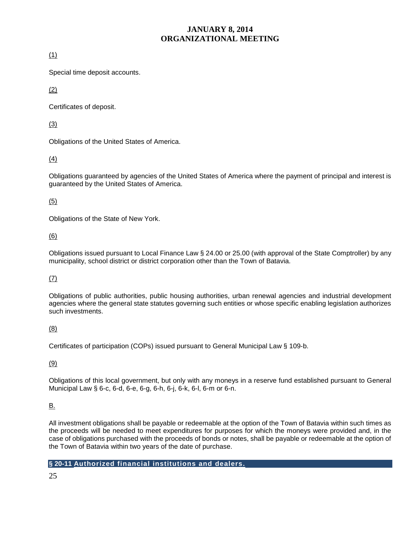[\(1\)](http://www.ecode360.com/8980089#8980089) 

Special time deposit accounts.

[\(2\)](http://www.ecode360.com/8980090#8980090) 

Certificates of deposit.

[\(3\)](http://www.ecode360.com/8980091#8980091) 

Obligations of the United States of America.

[\(4\)](http://www.ecode360.com/8980092#8980092) 

Obligations guaranteed by agencies of the United States of America where the payment of principal and interest is guaranteed by the United States of America.

[\(5\)](http://www.ecode360.com/8980093#8980093) 

Obligations of the State of New York.

#### [\(6\)](http://www.ecode360.com/8980094#8980094)

Obligations issued pursuant to Local Finance Law § 24.00 or 25.00 (with approval of the State Comptroller) by any municipality, school district or district corporation other than the Town of Batavia.

#### [\(7\)](http://www.ecode360.com/8980095#8980095)

Obligations of public authorities, public housing authorities, urban renewal agencies and industrial development agencies where the general state statutes governing such entities or whose specific enabling legislation authorizes such investments.

#### [\(8\)](http://www.ecode360.com/8980096#8980096)

Certificates of participation (COPs) issued pursuant to General Municipal Law § 109-b.

[\(9\)](http://www.ecode360.com/8980097#8980097) 

Obligations of this local government, but only with any moneys in a reserve fund established pursuant to General Municipal Law § 6-c, 6-d, 6-e, 6-g, 6-h, 6-j, 6-k, 6-l, 6-m or 6-n.

#### [B.](http://www.ecode360.com/8980098#8980098)

All investment obligations shall be payable or redeemable at the option of the Town of Batavia within such times as the proceeds will be needed to meet expenditures for purposes for which the moneys were provided and, in the case of obligations purchased with the proceeds of bonds or notes, shall be payable or redeemable at the option of the Town of Batavia within two years of the date of purchase.

#### **§ 20-11 [Authorized financial institutions and dealers.](http://www.ecode360.com/8980099#8980099)**

25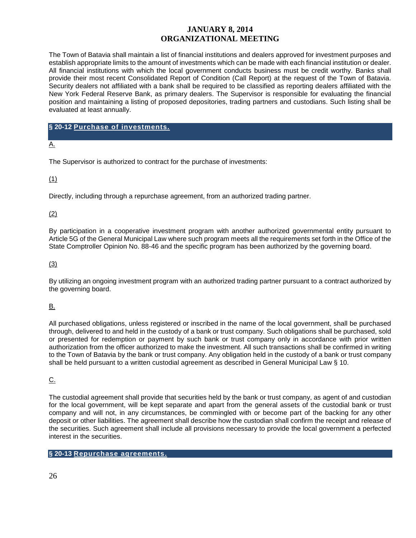The Town of Batavia shall maintain a list of financial institutions and dealers approved for investment purposes and establish appropriate limits to the amount of investments which can be made with each financial institution or dealer. All financial institutions with which the local government conducts business must be credit worthy. Banks shall provide their most recent Consolidated Report of Condition (Call Report) at the request of the Town of Batavia. Security dealers not affiliated with a bank shall be required to be classified as reporting dealers affiliated with the New York Federal Reserve Bank, as primary dealers. The Supervisor is responsible for evaluating the financial position and maintaining a listing of proposed depositories, trading partners and custodians. Such listing shall be evaluated at least annually.

#### **§ 20-12 [Purchase of investments.](http://www.ecode360.com/8980100#8980100)**

[A.](http://www.ecode360.com/8980101#8980101) 

The Supervisor is authorized to contract for the purchase of investments:

#### [\(1\)](http://www.ecode360.com/8980102#8980102)

Directly, including through a repurchase agreement, from an authorized trading partner.

#### [\(2\)](http://www.ecode360.com/8980103#8980103)

By participation in a cooperative investment program with another authorized governmental entity pursuant to Article 5G of the General Municipal Law where such program meets all the requirements set forth in the Office of the State Comptroller Opinion No. 88-46 and the specific program has been authorized by the governing board.

#### [\(3\)](http://www.ecode360.com/8980104#8980104)

By utilizing an ongoing investment program with an authorized trading partner pursuant to a contract authorized by the governing board.

#### [B.](http://www.ecode360.com/8980105#8980105)

All purchased obligations, unless registered or inscribed in the name of the local government, shall be purchased through, delivered to and held in the custody of a bank or trust company. Such obligations shall be purchased, sold or presented for redemption or payment by such bank or trust company only in accordance with prior written authorization from the officer authorized to make the investment. All such transactions shall be confirmed in writing to the Town of Batavia by the bank or trust company. Any obligation held in the custody of a bank or trust company shall be held pursuant to a written custodial agreement as described in General Municipal Law § 10.

#### [C.](http://www.ecode360.com/8980106#8980106)

The custodial agreement shall provide that securities held by the bank or trust company, as agent of and custodian for the local government, will be kept separate and apart from the general assets of the custodial bank or trust company and will not, in any circumstances, be commingled with or become part of the backing for any other deposit or other liabilities. The agreement shall describe how the custodian shall confirm the receipt and release of the securities. Such agreement shall include all provisions necessary to provide the local government a perfected interest in the securities.

#### **§ 20-13 [Repurchase agreements.](http://www.ecode360.com/8980107#8980107)**